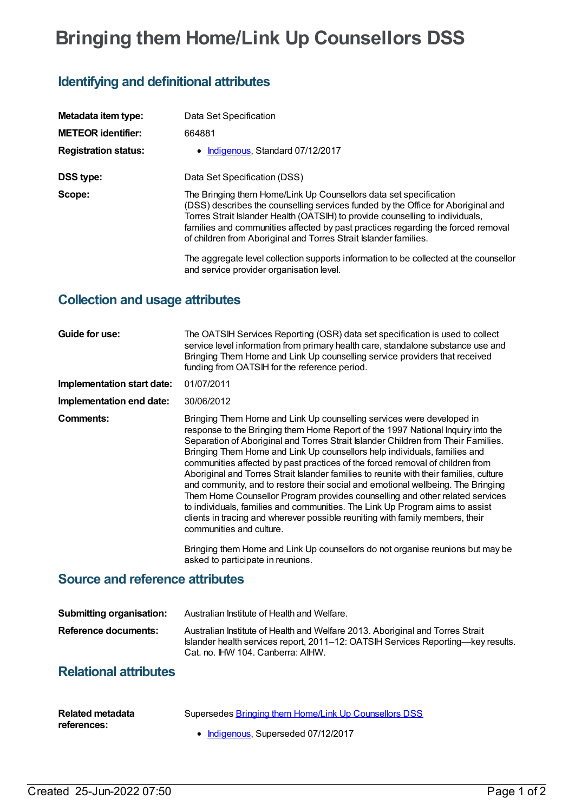# **Bringing them Home/Link Up Counsellors DSS**

### **Identifying and definitional attributes**

| Metadata item type:         | Data Set Specification                                                                                                                                                                                                                                                                                                                                                                         |
|-----------------------------|------------------------------------------------------------------------------------------------------------------------------------------------------------------------------------------------------------------------------------------------------------------------------------------------------------------------------------------------------------------------------------------------|
| <b>METEOR identifier:</b>   | 664881                                                                                                                                                                                                                                                                                                                                                                                         |
| <b>Registration status:</b> | • Indigenous, Standard 07/12/2017                                                                                                                                                                                                                                                                                                                                                              |
| <b>DSS type:</b>            | Data Set Specification (DSS)                                                                                                                                                                                                                                                                                                                                                                   |
| Scope:                      | The Bringing them Home/Link Up Counsellors data set specification<br>(DSS) describes the counselling services funded by the Office for Aboriginal and<br>Torres Strait Islander Health (OATSIH) to provide counselling to individuals,<br>families and communities affected by past practices regarding the forced removal<br>of children from Aboriginal and Torres Strait Islander families. |
|                             | The aggregate level collection supports information to be collected at the counsellor<br>and service provider organisation level.                                                                                                                                                                                                                                                              |

#### **Collection and usage attributes**

| Guide for use:             | The OATSIH Services Reporting (OSR) data set specification is used to collect<br>service level information from primary health care, standalone substance use and<br>Bringing Them Home and Link Up counselling service providers that received<br>funding from OATSIH for the reference period.                                                                                                                                                                                                                                                                                                                                                                                                                                                                                                                                                                                                                                                                                              |
|----------------------------|-----------------------------------------------------------------------------------------------------------------------------------------------------------------------------------------------------------------------------------------------------------------------------------------------------------------------------------------------------------------------------------------------------------------------------------------------------------------------------------------------------------------------------------------------------------------------------------------------------------------------------------------------------------------------------------------------------------------------------------------------------------------------------------------------------------------------------------------------------------------------------------------------------------------------------------------------------------------------------------------------|
| Implementation start date: | 01/07/2011                                                                                                                                                                                                                                                                                                                                                                                                                                                                                                                                                                                                                                                                                                                                                                                                                                                                                                                                                                                    |
| Implementation end date:   | 30/06/2012                                                                                                                                                                                                                                                                                                                                                                                                                                                                                                                                                                                                                                                                                                                                                                                                                                                                                                                                                                                    |
| Comments:                  | Bringing Them Home and Link Up counselling services were developed in<br>response to the Bringing them Home Report of the 1997 National Inquiry into the<br>Separation of Aboriginal and Torres Strait Islander Children from Their Families.<br>Bringing Them Home and Link Up counsellors help individuals, families and<br>communities affected by past practices of the forced removal of children from<br>Aboriginal and Torres Strait Islander families to reunite with their families, culture<br>and community, and to restore their social and emotional wellbeing. The Bringing<br>Them Home Counsellor Program provides counselling and other related services<br>to individuals, families and communities. The Link Up Program aims to assist<br>clients in tracing and wherever possible reuniting with family members, their<br>communities and culture.<br>Bringing them Home and Link Up counsellors do not organise reunions but may be<br>asked to participate in reunions. |

#### **Source and reference attributes**

| <b>Submitting organisation:</b> | Australian Institute of Health and Welfare.                                                                                                                                                            |
|---------------------------------|--------------------------------------------------------------------------------------------------------------------------------------------------------------------------------------------------------|
| Reference documents:            | Australian Institute of Health and Welfare 2013. Aboriginal and Torres Strait<br>Islander health services report, 2011-12: OATSIH Services Reporting-key results.<br>Cat. no. IHW 104. Canberra: AIHW. |

#### **Relational attributes**

| <b>Related metadata</b> | Supersedes Bringing them Home/Link Up Counsellors DSS |
|-------------------------|-------------------------------------------------------|
| references:             | • Indigenous, Superseded 07/12/2017                   |
|                         |                                                       |